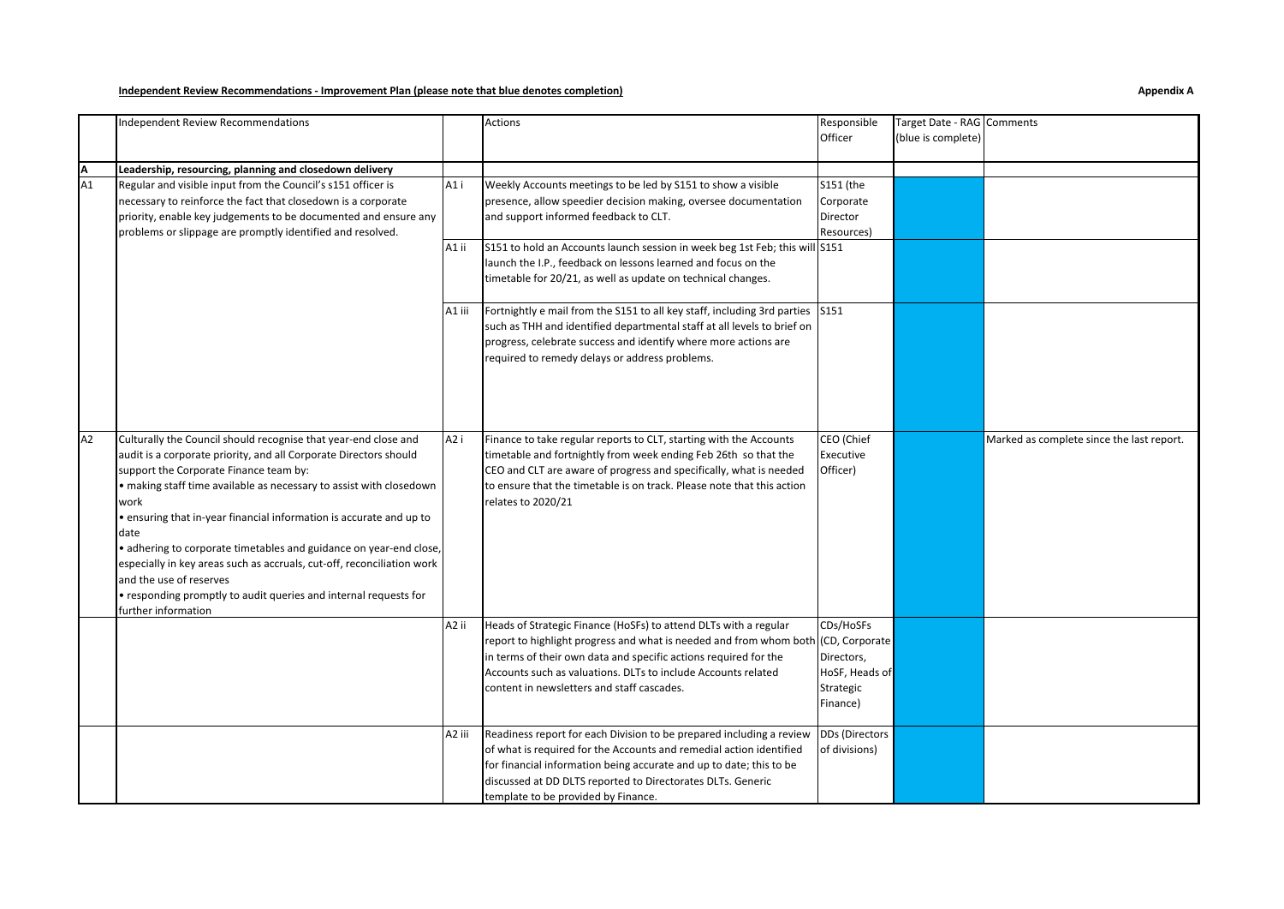## **Independent Review Recommendations - Improvement Plan (please note that blue denotes completion) Appendix A**

## Independent Review Recommendations and actions and actions and actions and actions and actions and actions are responsible **Officer** Target Date - RAG Comments (blue is complete) **A Leadership, resourcing, planning and closedown delivery** A1 i Weekly Accounts meetings to be led by S151 to show a visible presence, allow speedier decision making, oversee documentation and support informed feedback to CLT. S151 (the Corporate Director Resources) A1 ii S151 to hold an Accounts launch session in week beg 1st Feb; this will launch the I.P., feedback on lessons learned and focus on the timetable for 20/21, as well as update on technical changes. S151 A1 iii | Fortnightly e mail from the S151 to all key staff, including 3rd parties | S151 such as THH and identified departmental staff at all levels to brief on progress, celebrate success and identify where more actions are required to remedy delays or address problems. A2 Culturally the Council should recognise that year-end close and audit is a corporate priority, and all Corporate Directors should support the Corporate Finance team by: • making staff time available as necessary to assist with closedown work • ensuring that in-year financial information is accurate and up to date • adhering to corporate timetables and guidance on year-end close, especially in key areas such as accruals, cut-off, reconciliation work and the use of reserves • responding promptly to audit queries and internal requests for further information A2 i Finance to take regular reports to CLT, starting with the Accounts timetable and fortnightly from week ending Feb 26th so that the CEO and CLT are aware of progress and specifically, what is needed to ensure that the timetable is on track. Please note that this action relates to 2020/21 CEO (Chief Executive Officer) Marked as complete since the last report. A2 ii Heads of Strategic Finance (HoSFs) to attend DLTs with a regular report to highlight progress and what is needed and from whom both in terms of their own data and specific actions required for the Accounts such as valuations. DLTs to include Accounts related content in newsletters and staff cascades. CDs/HoSFs (CD, Corporate Directors, HoSF, Heads of Strategic Finance) A2 iii Readiness report for each Division to be prepared including a review of what is required for the Accounts and remedial action identified for financial information being accurate and up to date; this to be discussed at DD DLTS reported to Directorates DLTs. Generic template to be provided by Finance. DDs (Directors of divisions) Regular and visible input from the Council's s151 officer is necessary to reinforce the fact that closedown is a corporate priority, enable key judgements to be documented and ensure any problems or slippage are promptly identified and resolved.  $A1$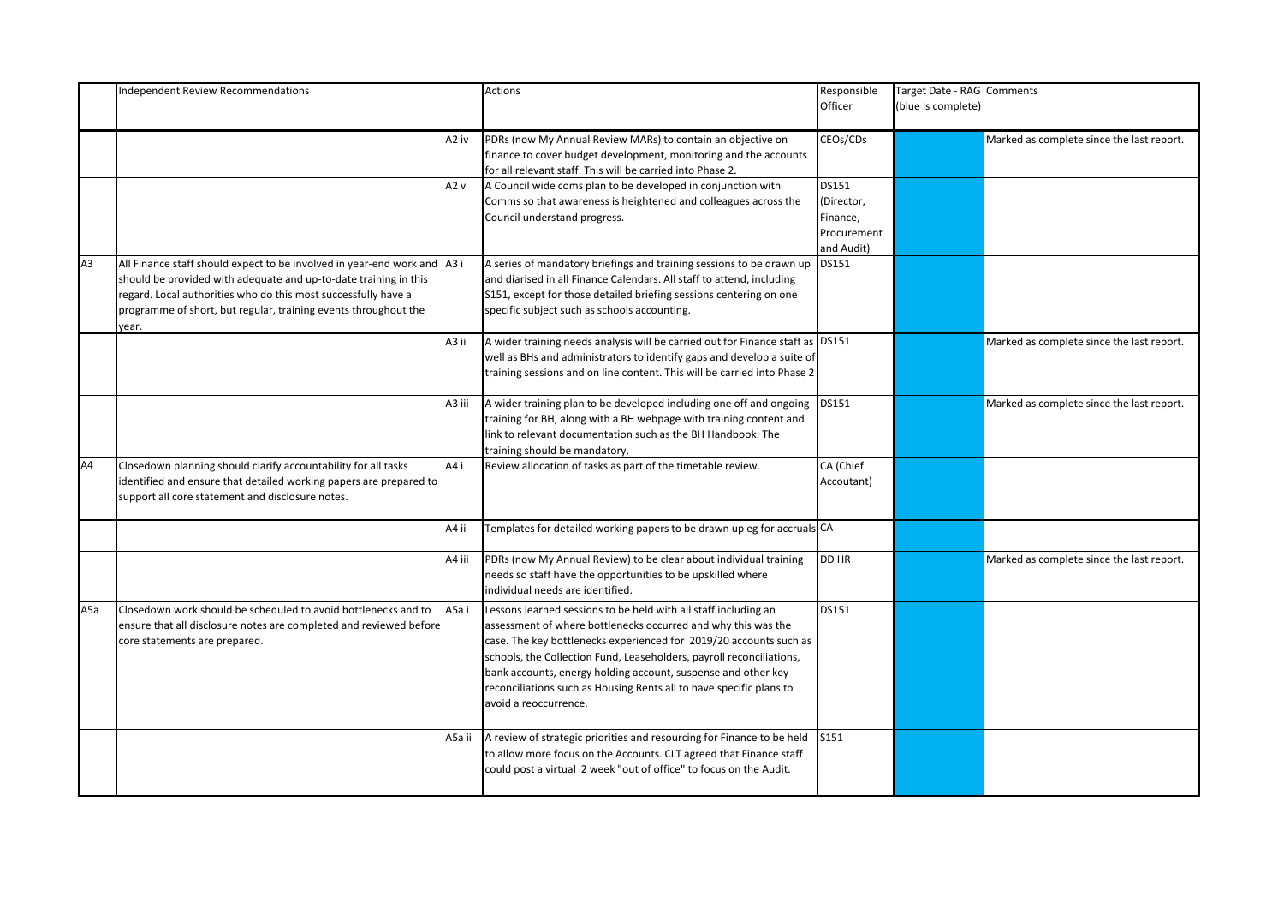|                | <b>Independent Review Recommendations</b>                                                                                                                                                                                                                                                  |        | Actions                                                                                                                                                                                                                                                                                                                                                                                                                                         | Responsible<br>Officer                                              | Target Date - RAG Comments<br>(blue is complete) |                                           |
|----------------|--------------------------------------------------------------------------------------------------------------------------------------------------------------------------------------------------------------------------------------------------------------------------------------------|--------|-------------------------------------------------------------------------------------------------------------------------------------------------------------------------------------------------------------------------------------------------------------------------------------------------------------------------------------------------------------------------------------------------------------------------------------------------|---------------------------------------------------------------------|--------------------------------------------------|-------------------------------------------|
|                |                                                                                                                                                                                                                                                                                            | A2 iv  | PDRs (now My Annual Review MARs) to contain an objective on<br>finance to cover budget development, monitoring and the accounts<br>for all relevant staff. This will be carried into Phase 2.                                                                                                                                                                                                                                                   | CEOs/CDs                                                            |                                                  | Marked as complete since the last report. |
|                |                                                                                                                                                                                                                                                                                            | A2 v   | A Council wide coms plan to be developed in conjunction with<br>Comms so that awareness is heightened and colleagues across the<br>Council understand progress.                                                                                                                                                                                                                                                                                 | <b>DS151</b><br>(Director,<br>Finance,<br>Procurement<br>and Audit) |                                                  |                                           |
| A <sub>3</sub> | All Finance staff should expect to be involved in year-end work and A3 i<br>should be provided with adequate and up-to-date training in this<br>regard. Local authorities who do this most successfully have a<br>programme of short, but regular, training events throughout the<br>year. |        | A series of mandatory briefings and training sessions to be drawn up<br>and diarised in all Finance Calendars. All staff to attend, including<br>S151, except for those detailed briefing sessions centering on one<br>specific subject such as schools accounting.                                                                                                                                                                             | DS151                                                               |                                                  |                                           |
|                |                                                                                                                                                                                                                                                                                            | A3 ii  | A wider training needs analysis will be carried out for Finance staff as DS151<br>well as BHs and administrators to identify gaps and develop a suite of<br>training sessions and on line content. This will be carried into Phase 2                                                                                                                                                                                                            |                                                                     |                                                  | Marked as complete since the last report. |
|                |                                                                                                                                                                                                                                                                                            | A3 iii | A wider training plan to be developed including one off and ongoing<br>training for BH, along with a BH webpage with training content and<br>link to relevant documentation such as the BH Handbook. The<br>training should be mandatory.                                                                                                                                                                                                       | DS151                                                               |                                                  | Marked as complete since the last report. |
| A4             | Closedown planning should clarify accountability for all tasks<br>identified and ensure that detailed working papers are prepared to<br>support all core statement and disclosure notes.                                                                                                   | A4 i   | Review allocation of tasks as part of the timetable review.                                                                                                                                                                                                                                                                                                                                                                                     | CA (Chief<br>Accoutant)                                             |                                                  |                                           |
|                |                                                                                                                                                                                                                                                                                            | A4 ii  | Templates for detailed working papers to be drawn up eg for accruals CA                                                                                                                                                                                                                                                                                                                                                                         |                                                                     |                                                  |                                           |
|                |                                                                                                                                                                                                                                                                                            | A4 iii | PDRs (now My Annual Review) to be clear about individual training<br>needs so staff have the opportunities to be upskilled where<br>individual needs are identified.                                                                                                                                                                                                                                                                            | DD HR                                                               |                                                  | Marked as complete since the last report. |
| A5a            | Closedown work should be scheduled to avoid bottlenecks and to<br>ensure that all disclosure notes are completed and reviewed before<br>core statements are prepared.                                                                                                                      | A5a i  | Lessons learned sessions to be held with all staff including an<br>assessment of where bottlenecks occurred and why this was the<br>case. The key bottlenecks experienced for 2019/20 accounts such as<br>schools, the Collection Fund, Leaseholders, payroll reconciliations,<br>bank accounts, energy holding account, suspense and other key<br>reconciliations such as Housing Rents all to have specific plans to<br>avoid a reoccurrence. | DS151                                                               |                                                  |                                           |
|                |                                                                                                                                                                                                                                                                                            | A5a ii | A review of strategic priorities and resourcing for Finance to be held<br>to allow more focus on the Accounts. CLT agreed that Finance staff<br>could post a virtual 2 week "out of office" to focus on the Audit.                                                                                                                                                                                                                              | S151                                                                |                                                  |                                           |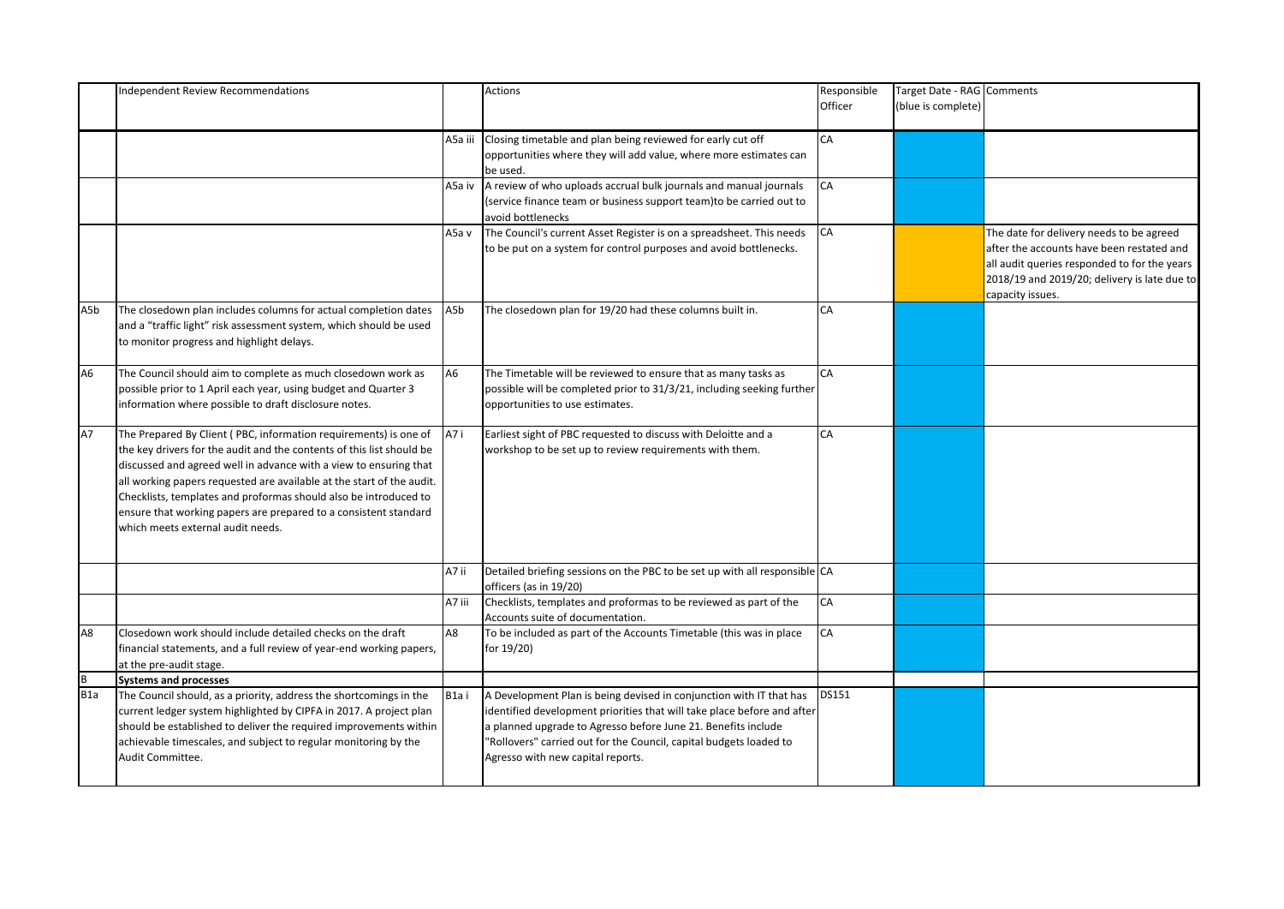|     | <b>Independent Review Recommendations</b>                                                                                                                                                                                                                                                                                                                                                                                                                            |         | Actions                                                                                                                                                                                                                                                                                                                    | Responsible<br>Officer | Target Date - RAG Comments<br>(blue is complete) |                                                                                                                                                                                                           |
|-----|----------------------------------------------------------------------------------------------------------------------------------------------------------------------------------------------------------------------------------------------------------------------------------------------------------------------------------------------------------------------------------------------------------------------------------------------------------------------|---------|----------------------------------------------------------------------------------------------------------------------------------------------------------------------------------------------------------------------------------------------------------------------------------------------------------------------------|------------------------|--------------------------------------------------|-----------------------------------------------------------------------------------------------------------------------------------------------------------------------------------------------------------|
|     |                                                                                                                                                                                                                                                                                                                                                                                                                                                                      | A5a iii | Closing timetable and plan being reviewed for early cut off<br>opportunities where they will add value, where more estimates can<br>be used.                                                                                                                                                                               | CA                     |                                                  |                                                                                                                                                                                                           |
|     |                                                                                                                                                                                                                                                                                                                                                                                                                                                                      | A5a iv  | A review of who uploads accrual bulk journals and manual journals<br>(service finance team or business support team)to be carried out to<br>avoid bottlenecks                                                                                                                                                              | CA                     |                                                  |                                                                                                                                                                                                           |
|     |                                                                                                                                                                                                                                                                                                                                                                                                                                                                      | A5a v   | The Council's current Asset Register is on a spreadsheet. This needs<br>to be put on a system for control purposes and avoid bottlenecks.                                                                                                                                                                                  | CA                     |                                                  | The date for delivery needs to be agreed<br>after the accounts have been restated and<br>all audit queries responded to for the years<br>2018/19 and 2019/20; delivery is late due to<br>capacity issues. |
| A5b | The closedown plan includes columns for actual completion dates<br>and a "traffic light" risk assessment system, which should be used<br>to monitor progress and highlight delays.                                                                                                                                                                                                                                                                                   | A5b     | The closedown plan for 19/20 had these columns built in.                                                                                                                                                                                                                                                                   | CA                     |                                                  |                                                                                                                                                                                                           |
| A6  | The Council should aim to complete as much closedown work as<br>possible prior to 1 April each year, using budget and Quarter 3<br>information where possible to draft disclosure notes.                                                                                                                                                                                                                                                                             | A6      | The Timetable will be reviewed to ensure that as many tasks as<br>possible will be completed prior to 31/3/21, including seeking further<br>opportunities to use estimates.                                                                                                                                                | CA                     |                                                  |                                                                                                                                                                                                           |
| A7  | The Prepared By Client (PBC, information requirements) is one of<br>the key drivers for the audit and the contents of this list should be<br>discussed and agreed well in advance with a view to ensuring that<br>all working papers requested are available at the start of the audit.<br>Checklists, templates and proformas should also be introduced to<br>ensure that working papers are prepared to a consistent standard<br>which meets external audit needs. | A7i     | Earliest sight of PBC requested to discuss with Deloitte and a<br>workshop to be set up to review requirements with them.                                                                                                                                                                                                  | CA                     |                                                  |                                                                                                                                                                                                           |
|     |                                                                                                                                                                                                                                                                                                                                                                                                                                                                      | A7 ii   | Detailed briefing sessions on the PBC to be set up with all responsible CA<br>officers (as in 19/20)                                                                                                                                                                                                                       |                        |                                                  |                                                                                                                                                                                                           |
|     |                                                                                                                                                                                                                                                                                                                                                                                                                                                                      | A7 iii  | Checklists, templates and proformas to be reviewed as part of the<br>Accounts suite of documentation.                                                                                                                                                                                                                      | CA                     |                                                  |                                                                                                                                                                                                           |
| A8  | Closedown work should include detailed checks on the draft<br>financial statements, and a full review of year-end working papers,<br>at the pre-audit stage.                                                                                                                                                                                                                                                                                                         | A8      | To be included as part of the Accounts Timetable (this was in place<br>for 19/20)                                                                                                                                                                                                                                          | CA                     |                                                  |                                                                                                                                                                                                           |
| B   | <b>Systems and processes</b>                                                                                                                                                                                                                                                                                                                                                                                                                                         |         |                                                                                                                                                                                                                                                                                                                            |                        |                                                  |                                                                                                                                                                                                           |
| B1a | The Council should, as a priority, address the shortcomings in the<br>current ledger system highlighted by CIPFA in 2017. A project plan<br>should be established to deliver the required improvements within<br>achievable timescales, and subject to regular monitoring by the<br>Audit Committee.                                                                                                                                                                 | B1ai    | A Development Plan is being devised in conjunction with IT that has<br>identified development priorities that will take place before and after<br>a planned upgrade to Agresso before June 21. Benefits include<br>"Rollovers" carried out for the Council, capital budgets loaded to<br>Agresso with new capital reports. | DS151                  |                                                  |                                                                                                                                                                                                           |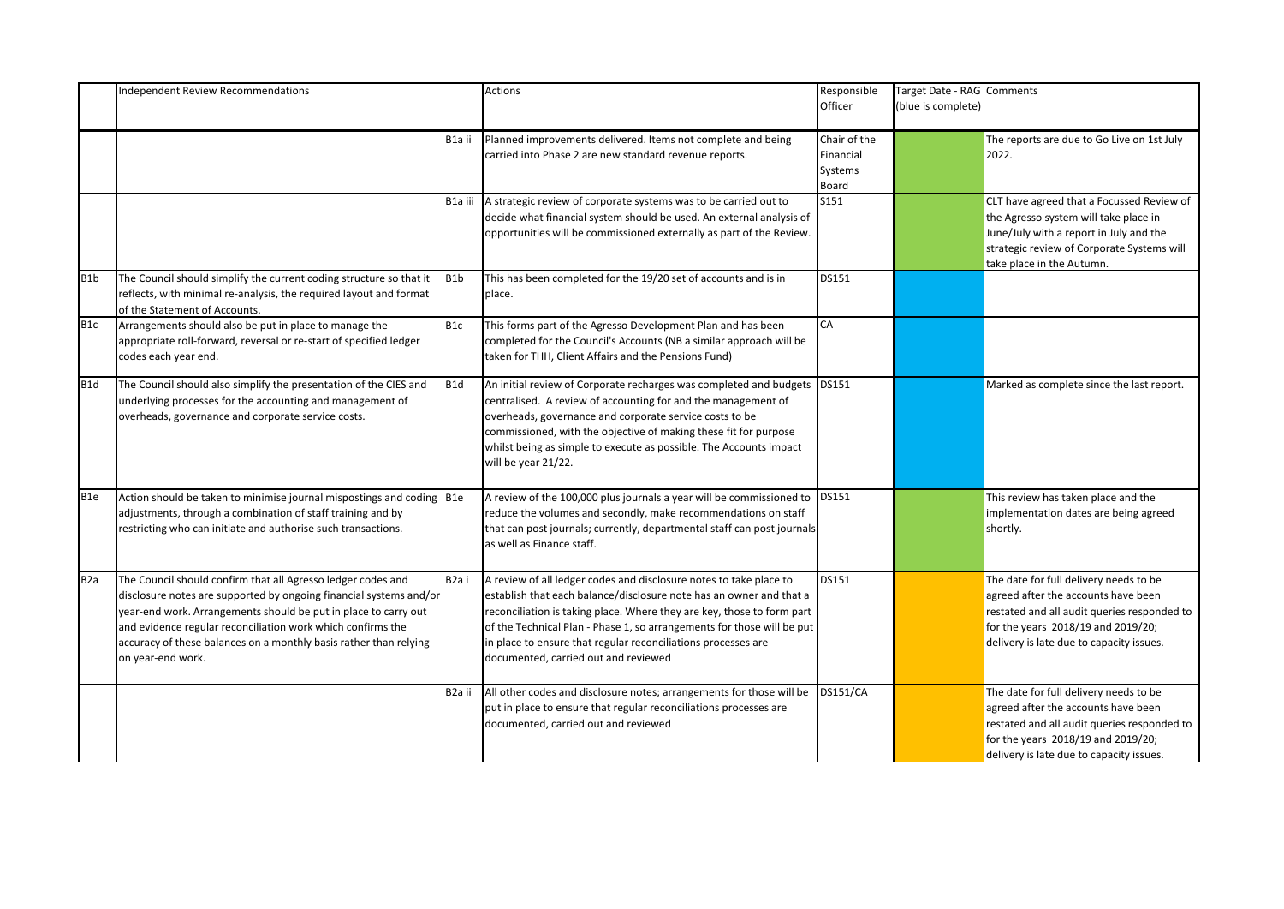|                  | <b>Independent Review Recommendations</b>                              |                   | <b>Actions</b>                                                          | Responsible     | Target Date - RAG Comments |                                             |
|------------------|------------------------------------------------------------------------|-------------------|-------------------------------------------------------------------------|-----------------|----------------------------|---------------------------------------------|
|                  |                                                                        |                   |                                                                         | Officer         | (blue is complete)         |                                             |
|                  |                                                                        |                   |                                                                         |                 |                            |                                             |
|                  |                                                                        | B1a ii            | Planned improvements delivered. Items not complete and being            | Chair of the    |                            | The reports are due to Go Live on 1st July  |
|                  |                                                                        |                   | carried into Phase 2 are new standard revenue reports.                  | Financial       |                            | 2022.                                       |
|                  |                                                                        |                   |                                                                         |                 |                            |                                             |
|                  |                                                                        |                   |                                                                         | Systems         |                            |                                             |
|                  |                                                                        |                   |                                                                         | Board           |                            |                                             |
|                  |                                                                        | B1a iii           | A strategic review of corporate systems was to be carried out to        | S151            |                            | CLT have agreed that a Focussed Review of   |
|                  |                                                                        |                   | decide what financial system should be used. An external analysis of    |                 |                            | the Agresso system will take place in       |
|                  |                                                                        |                   | opportunities will be commissioned externally as part of the Review.    |                 |                            | June/July with a report in July and the     |
|                  |                                                                        |                   |                                                                         |                 |                            | strategic review of Corporate Systems will  |
|                  |                                                                        |                   |                                                                         |                 |                            | take place in the Autumn.                   |
| B <sub>1</sub> b | The Council should simplify the current coding structure so that it    | B <sub>1</sub> b  | This has been completed for the 19/20 set of accounts and is in         | DS151           |                            |                                             |
|                  | reflects, with minimal re-analysis, the required layout and format     |                   | place.                                                                  |                 |                            |                                             |
|                  | of the Statement of Accounts.                                          |                   |                                                                         |                 |                            |                                             |
|                  |                                                                        |                   |                                                                         | CA              |                            |                                             |
| B <sub>1</sub> c | Arrangements should also be put in place to manage the                 | B <sub>1c</sub>   | This forms part of the Agresso Development Plan and has been            |                 |                            |                                             |
|                  | appropriate roll-forward, reversal or re-start of specified ledger     |                   | completed for the Council's Accounts (NB a similar approach will be     |                 |                            |                                             |
|                  | codes each year end.                                                   |                   | taken for THH, Client Affairs and the Pensions Fund)                    |                 |                            |                                             |
|                  |                                                                        |                   |                                                                         |                 |                            |                                             |
| B <sub>1</sub> d | The Council should also simplify the presentation of the CIES and      | B1d               | An initial review of Corporate recharges was completed and budgets      | DS151           |                            | Marked as complete since the last report.   |
|                  | underlying processes for the accounting and management of              |                   | centralised. A review of accounting for and the management of           |                 |                            |                                             |
|                  | overheads, governance and corporate service costs.                     |                   | overheads, governance and corporate service costs to be                 |                 |                            |                                             |
|                  |                                                                        |                   | commissioned, with the objective of making these fit for purpose        |                 |                            |                                             |
|                  |                                                                        |                   | whilst being as simple to execute as possible. The Accounts impact      |                 |                            |                                             |
|                  |                                                                        |                   | will be year 21/22.                                                     |                 |                            |                                             |
|                  |                                                                        |                   |                                                                         |                 |                            |                                             |
|                  |                                                                        |                   |                                                                         |                 |                            |                                             |
| B1e              | Action should be taken to minimise journal mispostings and coding  B1e |                   | A review of the 100,000 plus journals a year will be commissioned to    | DS151           |                            | This review has taken place and the         |
|                  | adjustments, through a combination of staff training and by            |                   | reduce the volumes and secondly, make recommendations on staff          |                 |                            | implementation dates are being agreed       |
|                  | restricting who can initiate and authorise such transactions.          |                   | that can post journals; currently, departmental staff can post journals |                 |                            | shortly.                                    |
|                  |                                                                        |                   | as well as Finance staff.                                               |                 |                            |                                             |
|                  |                                                                        |                   |                                                                         |                 |                            |                                             |
| B <sub>2</sub> a | The Council should confirm that all Agresso ledger codes and           | B <sub>2</sub> ai | A review of all ledger codes and disclosure notes to take place to      | DS151           |                            | The date for full delivery needs to be      |
|                  |                                                                        |                   |                                                                         |                 |                            |                                             |
|                  | disclosure notes are supported by ongoing financial systems and/or     |                   | establish that each balance/disclosure note has an owner and that a     |                 |                            | agreed after the accounts have been         |
|                  | year-end work. Arrangements should be put in place to carry out        |                   | reconciliation is taking place. Where they are key, those to form part  |                 |                            | restated and all audit queries responded to |
|                  | and evidence regular reconciliation work which confirms the            |                   | of the Technical Plan - Phase 1, so arrangements for those will be put  |                 |                            | for the years 2018/19 and 2019/20;          |
|                  | accuracy of these balances on a monthly basis rather than relying      |                   | in place to ensure that regular reconciliations processes are           |                 |                            | delivery is late due to capacity issues.    |
|                  | on year-end work.                                                      |                   | documented, carried out and reviewed                                    |                 |                            |                                             |
|                  |                                                                        |                   |                                                                         |                 |                            |                                             |
|                  |                                                                        | B2a ii            | All other codes and disclosure notes; arrangements for those will be    | <b>DS151/CA</b> |                            | The date for full delivery needs to be      |
|                  |                                                                        |                   | put in place to ensure that regular reconciliations processes are       |                 |                            | agreed after the accounts have been         |
|                  |                                                                        |                   | documented, carried out and reviewed                                    |                 |                            | restated and all audit queries responded to |
|                  |                                                                        |                   |                                                                         |                 |                            |                                             |
|                  |                                                                        |                   |                                                                         |                 |                            | for the years 2018/19 and 2019/20;          |
|                  |                                                                        |                   |                                                                         |                 |                            | delivery is late due to capacity issues.    |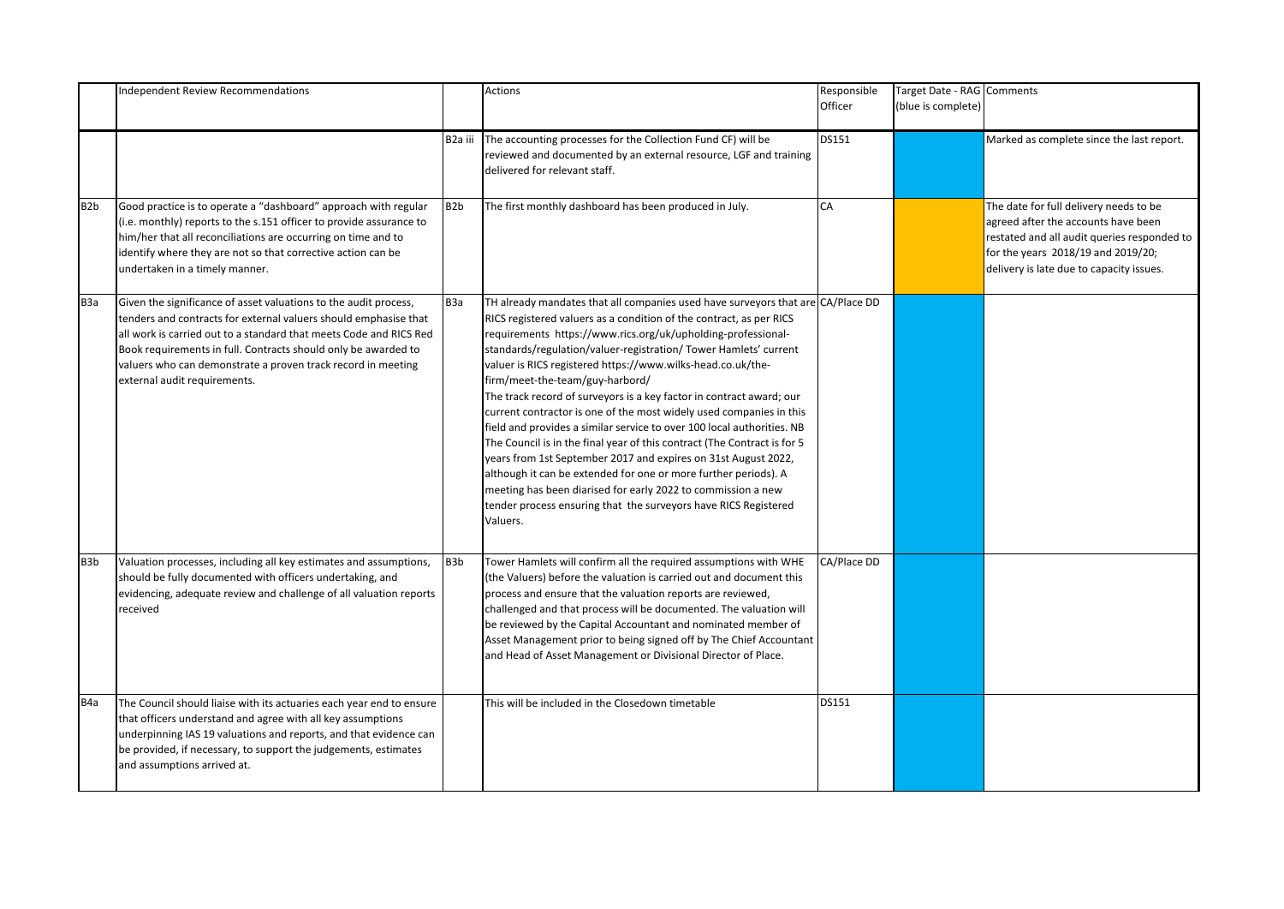|                  | <b>Independent Review Recommendations</b>                                                                                                                                                                                                                                                                                                                                    |                  | Actions                                                                                                                                                                                                                                                                                                                                                                                                                                                                                                                                                                                                                                                                                                                                                                                                                                                                                                                                                                               | Responsible<br>Officer | Target Date - RAG Comments<br>(blue is complete) |                                                                                                                                                                                                                |
|------------------|------------------------------------------------------------------------------------------------------------------------------------------------------------------------------------------------------------------------------------------------------------------------------------------------------------------------------------------------------------------------------|------------------|---------------------------------------------------------------------------------------------------------------------------------------------------------------------------------------------------------------------------------------------------------------------------------------------------------------------------------------------------------------------------------------------------------------------------------------------------------------------------------------------------------------------------------------------------------------------------------------------------------------------------------------------------------------------------------------------------------------------------------------------------------------------------------------------------------------------------------------------------------------------------------------------------------------------------------------------------------------------------------------|------------------------|--------------------------------------------------|----------------------------------------------------------------------------------------------------------------------------------------------------------------------------------------------------------------|
|                  |                                                                                                                                                                                                                                                                                                                                                                              |                  | B2a iii   The accounting processes for the Collection Fund CF) will be<br>reviewed and documented by an external resource, LGF and training<br>delivered for relevant staff.                                                                                                                                                                                                                                                                                                                                                                                                                                                                                                                                                                                                                                                                                                                                                                                                          | DS151                  |                                                  | Marked as complete since the last report.                                                                                                                                                                      |
| B <sub>2</sub> b | Good practice is to operate a "dashboard" approach with regular<br>(i.e. monthly) reports to the s.151 officer to provide assurance to<br>him/her that all reconciliations are occurring on time and to<br>identify where they are not so that corrective action can be<br>undertaken in a timely manner.                                                                    | B <sub>2</sub> b | The first monthly dashboard has been produced in July.                                                                                                                                                                                                                                                                                                                                                                                                                                                                                                                                                                                                                                                                                                                                                                                                                                                                                                                                | CA                     |                                                  | The date for full delivery needs to be<br>agreed after the accounts have been<br>restated and all audit queries responded to<br>for the years 2018/19 and 2019/20;<br>delivery is late due to capacity issues. |
| <b>ВЗа</b>       | Given the significance of asset valuations to the audit process,<br>tenders and contracts for external valuers should emphasise that<br>all work is carried out to a standard that meets Code and RICS Red<br>Book requirements in full. Contracts should only be awarded to<br>valuers who can demonstrate a proven track record in meeting<br>external audit requirements. | <b>ВЗа</b>       | TH already mandates that all companies used have surveyors that are CA/Place DD<br>RICS registered valuers as a condition of the contract, as per RICS<br>requirements https://www.rics.org/uk/upholding-professional-<br>standards/regulation/valuer-registration/ Tower Hamlets' current<br>valuer is RICS registered https://www.wilks-head.co.uk/the-<br>firm/meet-the-team/guy-harbord/<br>The track record of surveyors is a key factor in contract award; our<br>current contractor is one of the most widely used companies in this<br>field and provides a similar service to over 100 local authorities. NB<br>The Council is in the final year of this contract (The Contract is for 5<br>years from 1st September 2017 and expires on 31st August 2022,<br>although it can be extended for one or more further periods). A<br>meeting has been diarised for early 2022 to commission a new<br>tender process ensuring that the surveyors have RICS Registered<br>Valuers. |                        |                                                  |                                                                                                                                                                                                                |
| B <sub>3</sub> b | Valuation processes, including all key estimates and assumptions,<br>should be fully documented with officers undertaking, and<br>evidencing, adequate review and challenge of all valuation reports<br>received                                                                                                                                                             | B <sub>3</sub> b | Tower Hamlets will confirm all the required assumptions with WHE<br>(the Valuers) before the valuation is carried out and document this<br>process and ensure that the valuation reports are reviewed,<br>challenged and that process will be documented. The valuation will<br>be reviewed by the Capital Accountant and nominated member of<br>Asset Management prior to being signed off by The Chief Accountant<br>and Head of Asset Management or Divisional Director of Place.                                                                                                                                                                                                                                                                                                                                                                                                                                                                                                  | CA/Place DD            |                                                  |                                                                                                                                                                                                                |
| B <sub>4</sub> a | The Council should liaise with its actuaries each year end to ensure<br>that officers understand and agree with all key assumptions<br>underpinning IAS 19 valuations and reports, and that evidence can<br>be provided, if necessary, to support the judgements, estimates<br>and assumptions arrived at.                                                                   |                  | This will be included in the Closedown timetable                                                                                                                                                                                                                                                                                                                                                                                                                                                                                                                                                                                                                                                                                                                                                                                                                                                                                                                                      | DS151                  |                                                  |                                                                                                                                                                                                                |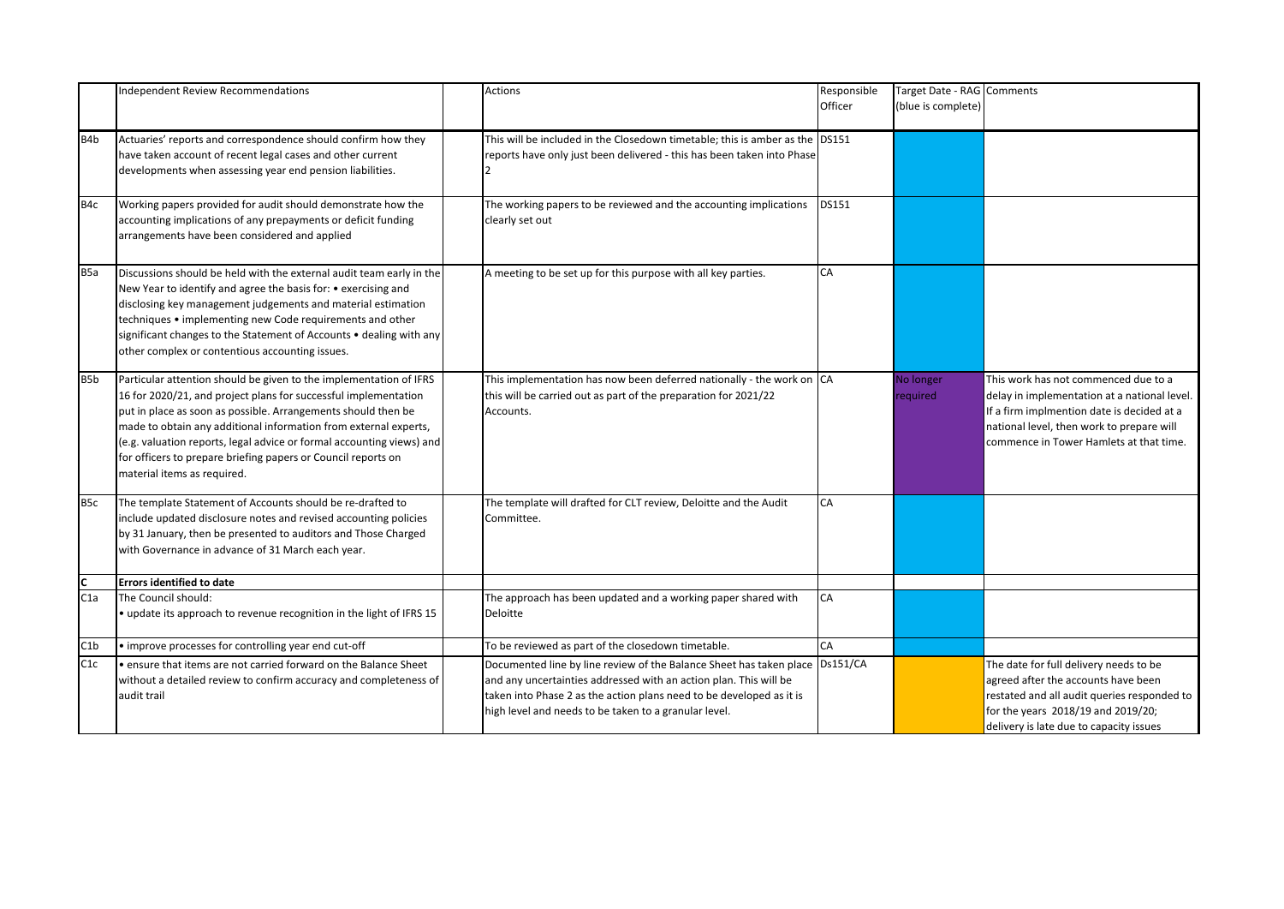|                  | <b>Independent Review Recommendations</b>                                                                                                                                                                                                                                                                                                                                                                                                           | <b>Actions</b>                                                                                                                                                                                                                                                                       | Responsible | Target Date - RAG Comments |                                                                                                                                                                                                                            |
|------------------|-----------------------------------------------------------------------------------------------------------------------------------------------------------------------------------------------------------------------------------------------------------------------------------------------------------------------------------------------------------------------------------------------------------------------------------------------------|--------------------------------------------------------------------------------------------------------------------------------------------------------------------------------------------------------------------------------------------------------------------------------------|-------------|----------------------------|----------------------------------------------------------------------------------------------------------------------------------------------------------------------------------------------------------------------------|
|                  |                                                                                                                                                                                                                                                                                                                                                                                                                                                     |                                                                                                                                                                                                                                                                                      | Officer     | (blue is complete)         |                                                                                                                                                                                                                            |
|                  |                                                                                                                                                                                                                                                                                                                                                                                                                                                     |                                                                                                                                                                                                                                                                                      |             |                            |                                                                                                                                                                                                                            |
| B <sub>4</sub> b | Actuaries' reports and correspondence should confirm how they<br>have taken account of recent legal cases and other current<br>developments when assessing year end pension liabilities.                                                                                                                                                                                                                                                            | This will be included in the Closedown timetable; this is amber as the DS151<br>reports have only just been delivered - this has been taken into Phase<br>$\overline{2}$                                                                                                             |             |                            |                                                                                                                                                                                                                            |
| B4c              | Working papers provided for audit should demonstrate how the<br>accounting implications of any prepayments or deficit funding<br>arrangements have been considered and applied                                                                                                                                                                                                                                                                      | The working papers to be reviewed and the accounting implications<br>clearly set out                                                                                                                                                                                                 | DS151       |                            |                                                                                                                                                                                                                            |
| B <sub>5a</sub>  | Discussions should be held with the external audit team early in the<br>New Year to identify and agree the basis for: • exercising and<br>disclosing key management judgements and material estimation<br>techniques • implementing new Code requirements and other<br>significant changes to the Statement of Accounts • dealing with any<br>other complex or contentious accounting issues.                                                       | A meeting to be set up for this purpose with all key parties.                                                                                                                                                                                                                        | CA          |                            |                                                                                                                                                                                                                            |
| B5b              | Particular attention should be given to the implementation of IFRS<br>16 for 2020/21, and project plans for successful implementation<br>put in place as soon as possible. Arrangements should then be<br>made to obtain any additional information from external experts,<br>(e.g. valuation reports, legal advice or formal accounting views) and<br>for officers to prepare briefing papers or Council reports on<br>material items as required. | This implementation has now been deferred nationally - the work on CA<br>this will be carried out as part of the preparation for 2021/22<br>Accounts.                                                                                                                                |             | No longer<br>required      | This work has not commenced due to a<br>delay in implementation at a national level.<br>If a firm implmention date is decided at a<br>national level, then work to prepare will<br>commence in Tower Hamlets at that time. |
| B <sub>5</sub> c | The template Statement of Accounts should be re-drafted to<br>include updated disclosure notes and revised accounting policies<br>by 31 January, then be presented to auditors and Those Charged<br>with Governance in advance of 31 March each year.                                                                                                                                                                                               | The template will drafted for CLT review, Deloitte and the Audit<br>Committee.                                                                                                                                                                                                       | CA          |                            |                                                                                                                                                                                                                            |
| Iс               | <b>Errors identified to date</b>                                                                                                                                                                                                                                                                                                                                                                                                                    |                                                                                                                                                                                                                                                                                      |             |                            |                                                                                                                                                                                                                            |
| C1a              | The Council should:<br>• update its approach to revenue recognition in the light of IFRS 15                                                                                                                                                                                                                                                                                                                                                         | The approach has been updated and a working paper shared with<br>Deloitte                                                                                                                                                                                                            | CA          |                            |                                                                                                                                                                                                                            |
| C1b              | • improve processes for controlling year end cut-off                                                                                                                                                                                                                                                                                                                                                                                                | To be reviewed as part of the closedown timetable.                                                                                                                                                                                                                                   | CA          |                            |                                                                                                                                                                                                                            |
| C1c              | . ensure that items are not carried forward on the Balance Sheet<br>without a detailed review to confirm accuracy and completeness of<br>audit trail                                                                                                                                                                                                                                                                                                | Documented line by line review of the Balance Sheet has taken place   Ds151/CA<br>and any uncertainties addressed with an action plan. This will be<br>taken into Phase 2 as the action plans need to be developed as it is<br>high level and needs to be taken to a granular level. |             |                            | The date for full delivery needs to be<br>agreed after the accounts have been<br>restated and all audit queries responded to<br>for the years 2018/19 and 2019/20;<br>delivery is late due to capacity issues              |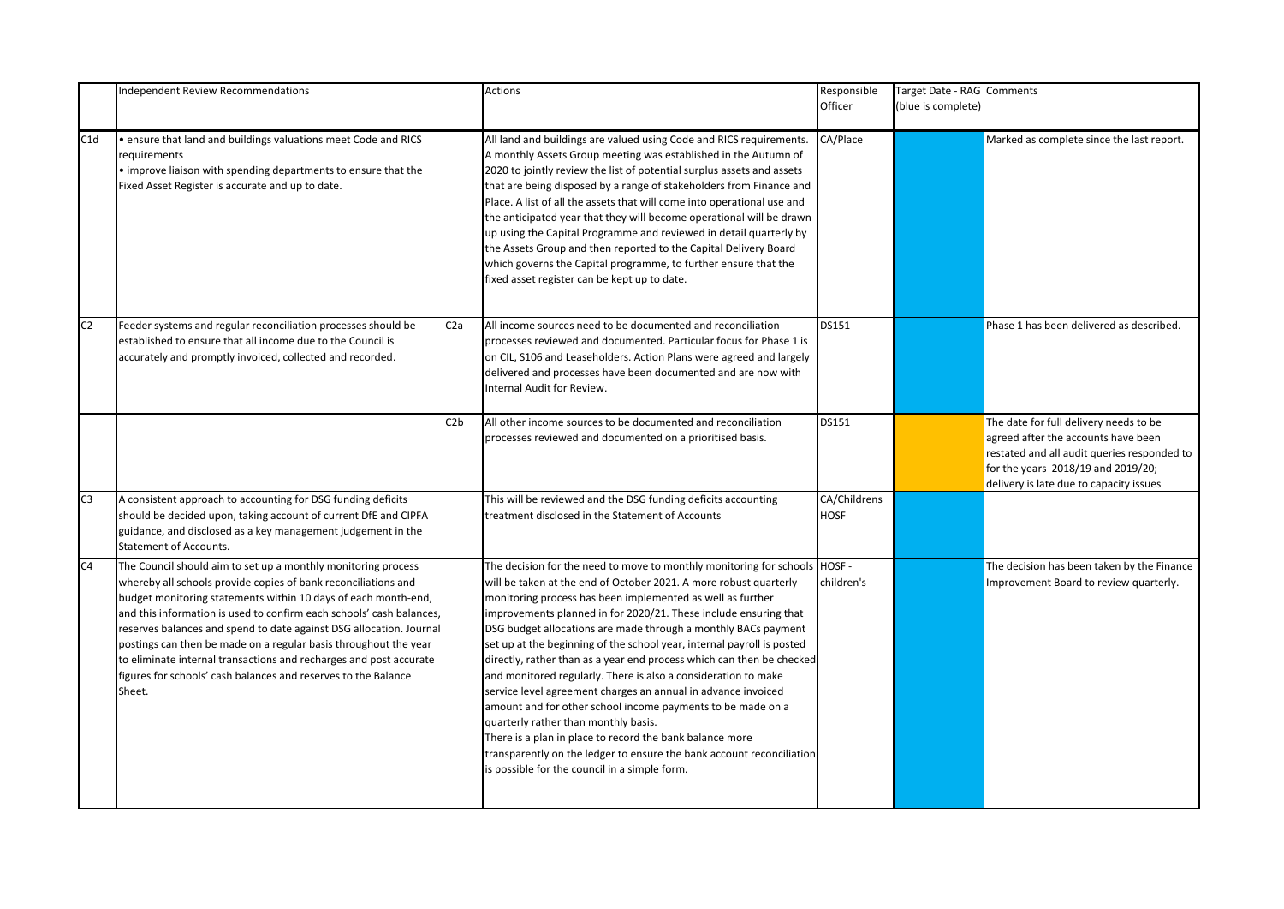|                | Independent Review Recommendations                                                                                                                                                                                                                                                                                                                                                                                                                                                                                                                                     |                  | <b>Actions</b>                                                                                                                                                                                                                                                                                                                                                                                                                                                                                                                                                                                                                                                                                                                                                                                                                                                                                                                           | Responsible                 | Target Date - RAG Comments |                                                                                                                                                                                                               |
|----------------|------------------------------------------------------------------------------------------------------------------------------------------------------------------------------------------------------------------------------------------------------------------------------------------------------------------------------------------------------------------------------------------------------------------------------------------------------------------------------------------------------------------------------------------------------------------------|------------------|------------------------------------------------------------------------------------------------------------------------------------------------------------------------------------------------------------------------------------------------------------------------------------------------------------------------------------------------------------------------------------------------------------------------------------------------------------------------------------------------------------------------------------------------------------------------------------------------------------------------------------------------------------------------------------------------------------------------------------------------------------------------------------------------------------------------------------------------------------------------------------------------------------------------------------------|-----------------------------|----------------------------|---------------------------------------------------------------------------------------------------------------------------------------------------------------------------------------------------------------|
|                |                                                                                                                                                                                                                                                                                                                                                                                                                                                                                                                                                                        |                  |                                                                                                                                                                                                                                                                                                                                                                                                                                                                                                                                                                                                                                                                                                                                                                                                                                                                                                                                          | Officer                     | (blue is complete)         |                                                                                                                                                                                                               |
|                |                                                                                                                                                                                                                                                                                                                                                                                                                                                                                                                                                                        |                  |                                                                                                                                                                                                                                                                                                                                                                                                                                                                                                                                                                                                                                                                                                                                                                                                                                                                                                                                          |                             |                            |                                                                                                                                                                                                               |
| C1d            | . ensure that land and buildings valuations meet Code and RICS<br>requirements<br>• improve liaison with spending departments to ensure that the<br>Fixed Asset Register is accurate and up to date.                                                                                                                                                                                                                                                                                                                                                                   |                  | All land and buildings are valued using Code and RICS requirements.<br>A monthly Assets Group meeting was established in the Autumn of<br>2020 to jointly review the list of potential surplus assets and assets<br>that are being disposed by a range of stakeholders from Finance and<br>Place. A list of all the assets that will come into operational use and<br>the anticipated year that they will become operational will be drawn<br>up using the Capital Programme and reviewed in detail quarterly by<br>the Assets Group and then reported to the Capital Delivery Board<br>which governs the Capital programme, to further ensure that the<br>fixed asset register can be kept up to date.                                                                                                                                                                                                                                  | CA/Place                    |                            | Marked as complete since the last report.                                                                                                                                                                     |
| C <sub>2</sub> | Feeder systems and regular reconciliation processes should be<br>established to ensure that all income due to the Council is<br>accurately and promptly invoiced, collected and recorded.                                                                                                                                                                                                                                                                                                                                                                              | C <sub>2</sub> a | All income sources need to be documented and reconciliation<br>processes reviewed and documented. Particular focus for Phase 1 is<br>on CIL, S106 and Leaseholders. Action Plans were agreed and largely<br>delivered and processes have been documented and are now with<br>Internal Audit for Review.                                                                                                                                                                                                                                                                                                                                                                                                                                                                                                                                                                                                                                  | DS151                       |                            | Phase 1 has been delivered as described.                                                                                                                                                                      |
|                |                                                                                                                                                                                                                                                                                                                                                                                                                                                                                                                                                                        | C2b              | All other income sources to be documented and reconciliation<br>processes reviewed and documented on a prioritised basis.                                                                                                                                                                                                                                                                                                                                                                                                                                                                                                                                                                                                                                                                                                                                                                                                                | <b>DS151</b>                |                            | The date for full delivery needs to be<br>agreed after the accounts have been<br>restated and all audit queries responded to<br>for the years 2018/19 and 2019/20;<br>delivery is late due to capacity issues |
| C <sub>3</sub> | A consistent approach to accounting for DSG funding deficits<br>should be decided upon, taking account of current DfE and CIPFA<br>guidance, and disclosed as a key management judgement in the<br><b>Statement of Accounts.</b>                                                                                                                                                                                                                                                                                                                                       |                  | This will be reviewed and the DSG funding deficits accounting<br>treatment disclosed in the Statement of Accounts                                                                                                                                                                                                                                                                                                                                                                                                                                                                                                                                                                                                                                                                                                                                                                                                                        | CA/Childrens<br><b>HOSF</b> |                            |                                                                                                                                                                                                               |
| C <sub>4</sub> | The Council should aim to set up a monthly monitoring process<br>whereby all schools provide copies of bank reconciliations and<br>budget monitoring statements within 10 days of each month-end,<br>and this information is used to confirm each schools' cash balances,<br>reserves balances and spend to date against DSG allocation. Journal<br>postings can then be made on a regular basis throughout the year<br>to eliminate internal transactions and recharges and post accurate<br>figures for schools' cash balances and reserves to the Balance<br>Sheet. |                  | The decision for the need to move to monthly monitoring for schools   HOSF -<br>will be taken at the end of October 2021. A more robust quarterly<br>monitoring process has been implemented as well as further<br>improvements planned in for 2020/21. These include ensuring that<br>DSG budget allocations are made through a monthly BACs payment<br>set up at the beginning of the school year, internal payroll is posted<br>directly, rather than as a year end process which can then be checked<br>and monitored regularly. There is also a consideration to make<br>service level agreement charges an annual in advance invoiced<br>amount and for other school income payments to be made on a<br>quarterly rather than monthly basis.<br>There is a plan in place to record the bank balance more<br>transparently on the ledger to ensure the bank account reconciliation<br>is possible for the council in a simple form. | children's                  |                            | The decision has been taken by the Finance<br>Improvement Board to review quarterly.                                                                                                                          |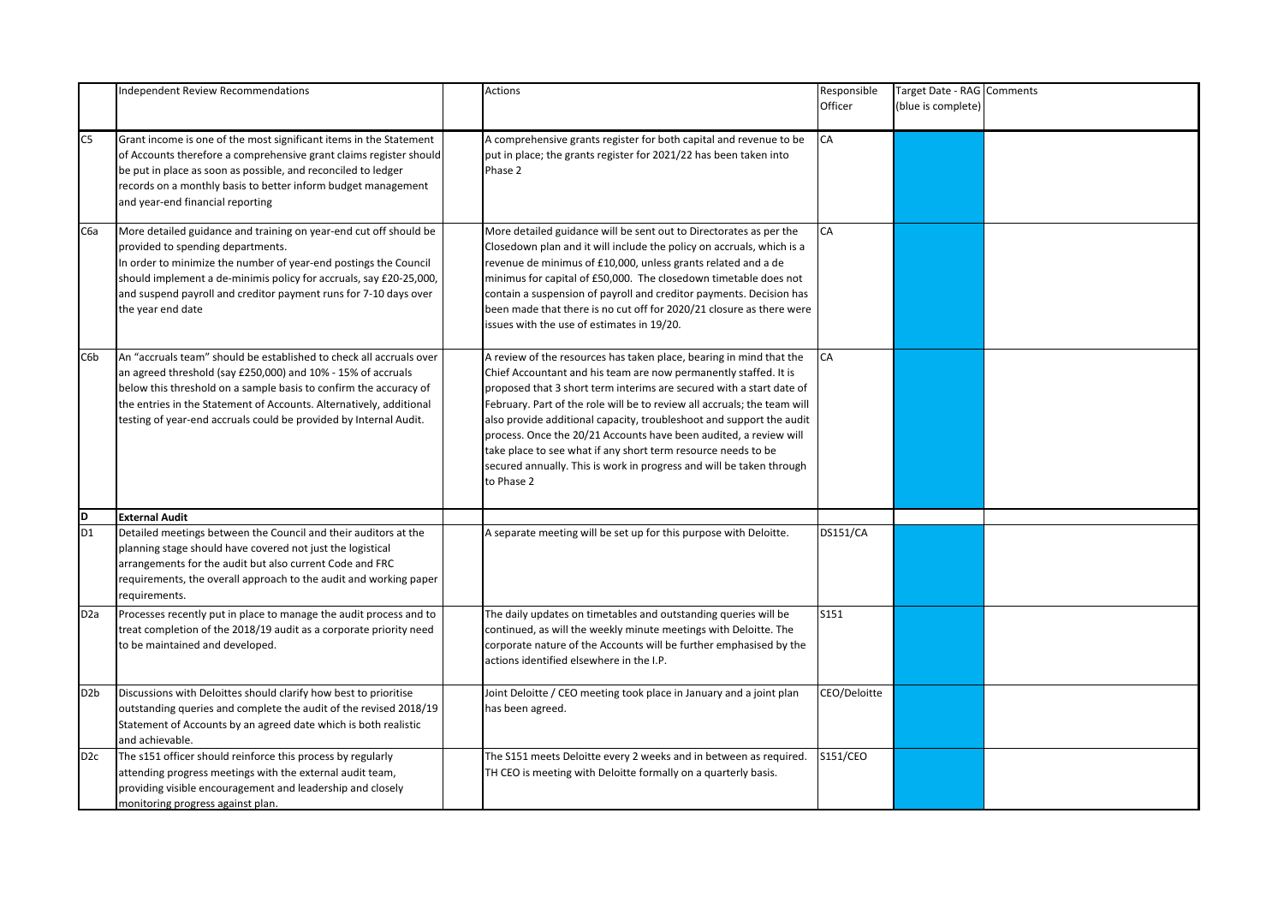|                  | Independent Review Recommendations                                                                                                                                                                                                                                                                                                                   | <b>Actions</b>                                                                                                                                                                                                                                                                                                                                                                                                                                                                                                                                                                                  | Responsible<br>Officer | Target Date - RAG Comments<br>(blue is complete) |  |
|------------------|------------------------------------------------------------------------------------------------------------------------------------------------------------------------------------------------------------------------------------------------------------------------------------------------------------------------------------------------------|-------------------------------------------------------------------------------------------------------------------------------------------------------------------------------------------------------------------------------------------------------------------------------------------------------------------------------------------------------------------------------------------------------------------------------------------------------------------------------------------------------------------------------------------------------------------------------------------------|------------------------|--------------------------------------------------|--|
| C <sub>5</sub>   | Grant income is one of the most significant items in the Statement<br>of Accounts therefore a comprehensive grant claims register should<br>be put in place as soon as possible, and reconciled to ledger<br>records on a monthly basis to better inform budget management<br>and year-end financial reporting                                       | A comprehensive grants register for both capital and revenue to be<br>put in place; the grants register for 2021/22 has been taken into<br>Phase 2                                                                                                                                                                                                                                                                                                                                                                                                                                              | СA                     |                                                  |  |
| C6a              | More detailed guidance and training on year-end cut off should be<br>provided to spending departments.<br>In order to minimize the number of year-end postings the Council<br>should implement a de-minimis policy for accruals, say £20-25,000,<br>and suspend payroll and creditor payment runs for 7-10 days over<br>the year end date            | More detailed guidance will be sent out to Directorates as per the<br>Closedown plan and it will include the policy on accruals, which is a<br>revenue de minimus of £10,000, unless grants related and a de<br>minimus for capital of £50,000. The closedown timetable does not<br>contain a suspension of payroll and creditor payments. Decision has<br>been made that there is no cut off for 2020/21 closure as there were<br>issues with the use of estimates in 19/20.                                                                                                                   | CA                     |                                                  |  |
| C6b              | An "accruals team" should be established to check all accruals over<br>an agreed threshold (say £250,000) and 10% - 15% of accruals<br>below this threshold on a sample basis to confirm the accuracy of<br>the entries in the Statement of Accounts. Alternatively, additional<br>testing of year-end accruals could be provided by Internal Audit. | A review of the resources has taken place, bearing in mind that the<br>Chief Accountant and his team are now permanently staffed. It is<br>proposed that 3 short term interims are secured with a start date of<br>February. Part of the role will be to review all accruals; the team will<br>also provide additional capacity, troubleshoot and support the audit<br>process. Once the 20/21 Accounts have been audited, a review will<br>take place to see what if any short term resource needs to be<br>secured annually. This is work in progress and will be taken through<br>to Phase 2 | СA                     |                                                  |  |
| $\frac{D}{D1}$   | <b>External Audit</b>                                                                                                                                                                                                                                                                                                                                |                                                                                                                                                                                                                                                                                                                                                                                                                                                                                                                                                                                                 |                        |                                                  |  |
|                  | Detailed meetings between the Council and their auditors at the<br>planning stage should have covered not just the logistical<br>arrangements for the audit but also current Code and FRC<br>requirements, the overall approach to the audit and working paper<br>requirements.                                                                      | A separate meeting will be set up for this purpose with Deloitte.                                                                                                                                                                                                                                                                                                                                                                                                                                                                                                                               | <b>DS151/CA</b>        |                                                  |  |
| D2a              | Processes recently put in place to manage the audit process and to<br>treat completion of the 2018/19 audit as a corporate priority need<br>to be maintained and developed.                                                                                                                                                                          | The daily updates on timetables and outstanding queries will be<br>continued, as will the weekly minute meetings with Deloitte. The<br>corporate nature of the Accounts will be further emphasised by the<br>actions identified elsewhere in the I.P.                                                                                                                                                                                                                                                                                                                                           | S151                   |                                                  |  |
| D <sub>2</sub> b | Discussions with Deloittes should clarify how best to prioritise<br>outstanding queries and complete the audit of the revised 2018/19<br>Statement of Accounts by an agreed date which is both realistic<br>and achievable.                                                                                                                          | Joint Deloitte / CEO meeting took place in January and a joint plan<br>has been agreed.                                                                                                                                                                                                                                                                                                                                                                                                                                                                                                         | CEO/Deloitte           |                                                  |  |
| D <sub>2c</sub>  | The s151 officer should reinforce this process by regularly<br>attending progress meetings with the external audit team,<br>providing visible encouragement and leadership and closely<br>monitoring progress against plan.                                                                                                                          | The S151 meets Deloitte every 2 weeks and in between as required.<br>TH CEO is meeting with Deloitte formally on a quarterly basis.                                                                                                                                                                                                                                                                                                                                                                                                                                                             | S151/CEO               |                                                  |  |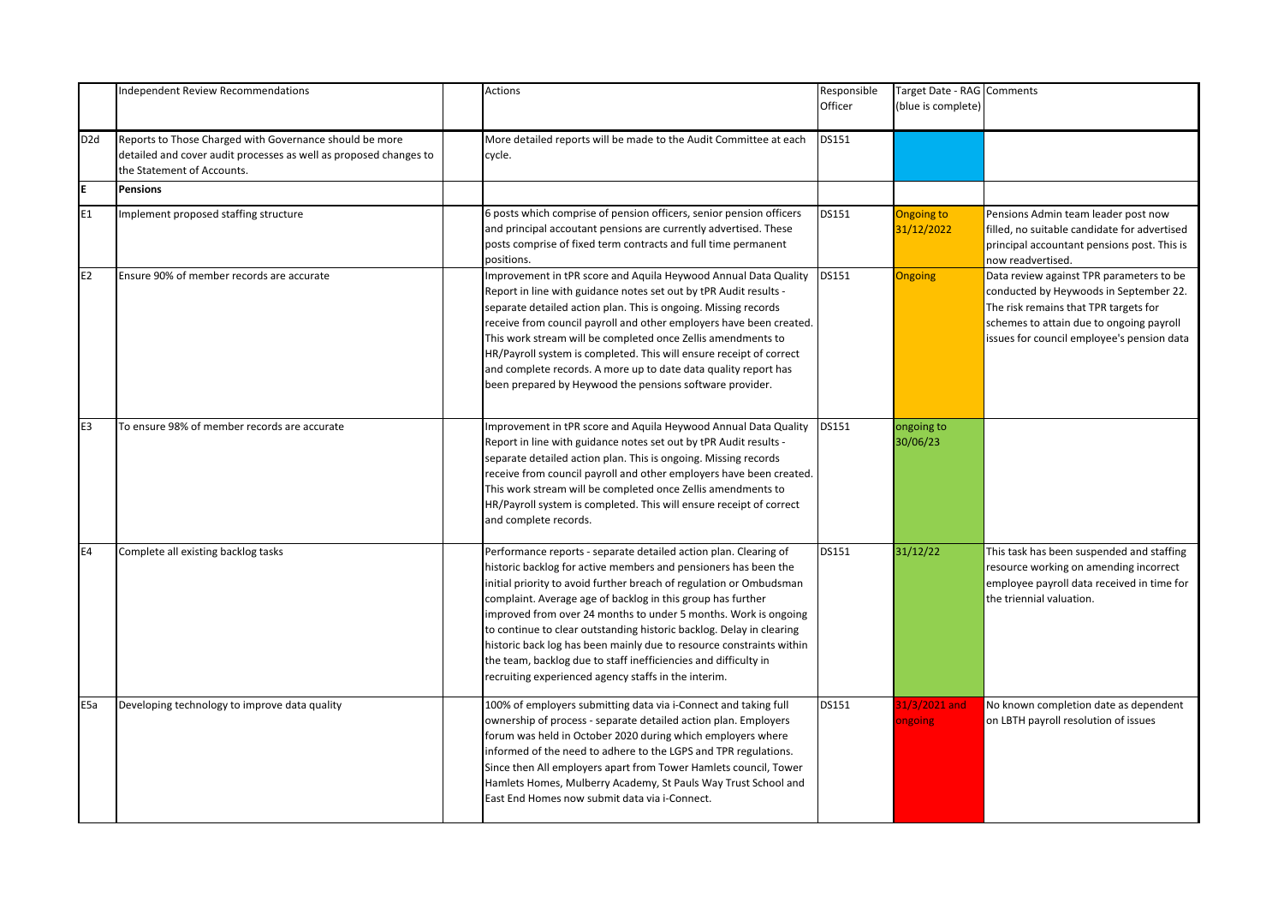|                 | <b>Independent Review Recommendations</b>                                                                                                                  | Actions                                                                                                                                                                                                                                                                                                                                                                                                                                                                                                                                                                                                                 | Responsible<br>Officer | Target Date - RAG Comments<br>(blue is complete) |                                                                                                                                                                                                                       |
|-----------------|------------------------------------------------------------------------------------------------------------------------------------------------------------|-------------------------------------------------------------------------------------------------------------------------------------------------------------------------------------------------------------------------------------------------------------------------------------------------------------------------------------------------------------------------------------------------------------------------------------------------------------------------------------------------------------------------------------------------------------------------------------------------------------------------|------------------------|--------------------------------------------------|-----------------------------------------------------------------------------------------------------------------------------------------------------------------------------------------------------------------------|
| D <sub>2d</sub> | Reports to Those Charged with Governance should be more<br>detailed and cover audit processes as well as proposed changes to<br>the Statement of Accounts. | More detailed reports will be made to the Audit Committee at each<br>cycle.                                                                                                                                                                                                                                                                                                                                                                                                                                                                                                                                             | <b>DS151</b>           |                                                  |                                                                                                                                                                                                                       |
| E               | Pensions                                                                                                                                                   |                                                                                                                                                                                                                                                                                                                                                                                                                                                                                                                                                                                                                         |                        |                                                  |                                                                                                                                                                                                                       |
| E1              | Implement proposed staffing structure                                                                                                                      | 6 posts which comprise of pension officers, senior pension officers<br>and principal accoutant pensions are currently advertised. These<br>posts comprise of fixed term contracts and full time permanent<br>positions.                                                                                                                                                                                                                                                                                                                                                                                                 | <b>DS151</b>           | <b>Ongoing to</b><br>31/12/2022                  | Pensions Admin team leader post now<br>filled, no suitable candidate for advertised<br>principal accountant pensions post. This is<br>now readvertised.                                                               |
| E2              | Ensure 90% of member records are accurate                                                                                                                  | Improvement in tPR score and Aquila Heywood Annual Data Quality<br>Report in line with guidance notes set out by tPR Audit results -<br>separate detailed action plan. This is ongoing. Missing records<br>receive from council payroll and other employers have been created.<br>This work stream will be completed once Zellis amendments to<br>HR/Payroll system is completed. This will ensure receipt of correct<br>and complete records. A more up to date data quality report has<br>been prepared by Heywood the pensions software provider.                                                                    | <b>DS151</b>           | Ongoing                                          | Data review against TPR parameters to be<br>conducted by Heywoods in September 22.<br>The risk remains that TPR targets for<br>schemes to attain due to ongoing payroll<br>issues for council employee's pension data |
| E <sub>3</sub>  | To ensure 98% of member records are accurate                                                                                                               | Improvement in tPR score and Aquila Heywood Annual Data Quality<br>Report in line with guidance notes set out by tPR Audit results -<br>separate detailed action plan. This is ongoing. Missing records<br>receive from council payroll and other employers have been created.<br>This work stream will be completed once Zellis amendments to<br>HR/Payroll system is completed. This will ensure receipt of correct<br>and complete records.                                                                                                                                                                          | <b>DS151</b>           | ongoing to<br>30/06/23                           |                                                                                                                                                                                                                       |
| E4              | Complete all existing backlog tasks                                                                                                                        | Performance reports - separate detailed action plan. Clearing of<br>historic backlog for active members and pensioners has been the<br>initial priority to avoid further breach of regulation or Ombudsman<br>complaint. Average age of backlog in this group has further<br>improved from over 24 months to under 5 months. Work is ongoing<br>to continue to clear outstanding historic backlog. Delay in clearing<br>historic back log has been mainly due to resource constraints within<br>the team, backlog due to staff inefficiencies and difficulty in<br>recruiting experienced agency staffs in the interim. | <b>DS151</b>           | 31/12/22                                         | This task has been suspended and staffing<br>resource working on amending incorrect<br>employee payroll data received in time for<br>the triennial valuation.                                                         |
| E <sub>5a</sub> | Developing technology to improve data quality                                                                                                              | 100% of employers submitting data via i-Connect and taking full<br>ownership of process - separate detailed action plan. Employers<br>forum was held in October 2020 during which employers where<br>informed of the need to adhere to the LGPS and TPR regulations.<br>Since then All employers apart from Tower Hamlets council, Tower<br>Hamlets Homes, Mulberry Academy, St Pauls Way Trust School and<br>East End Homes now submit data via i-Connect.                                                                                                                                                             | <b>DS151</b>           | 31/3/2021 and<br>ongoing                         | No known completion date as dependent<br>on LBTH payroll resolution of issues                                                                                                                                         |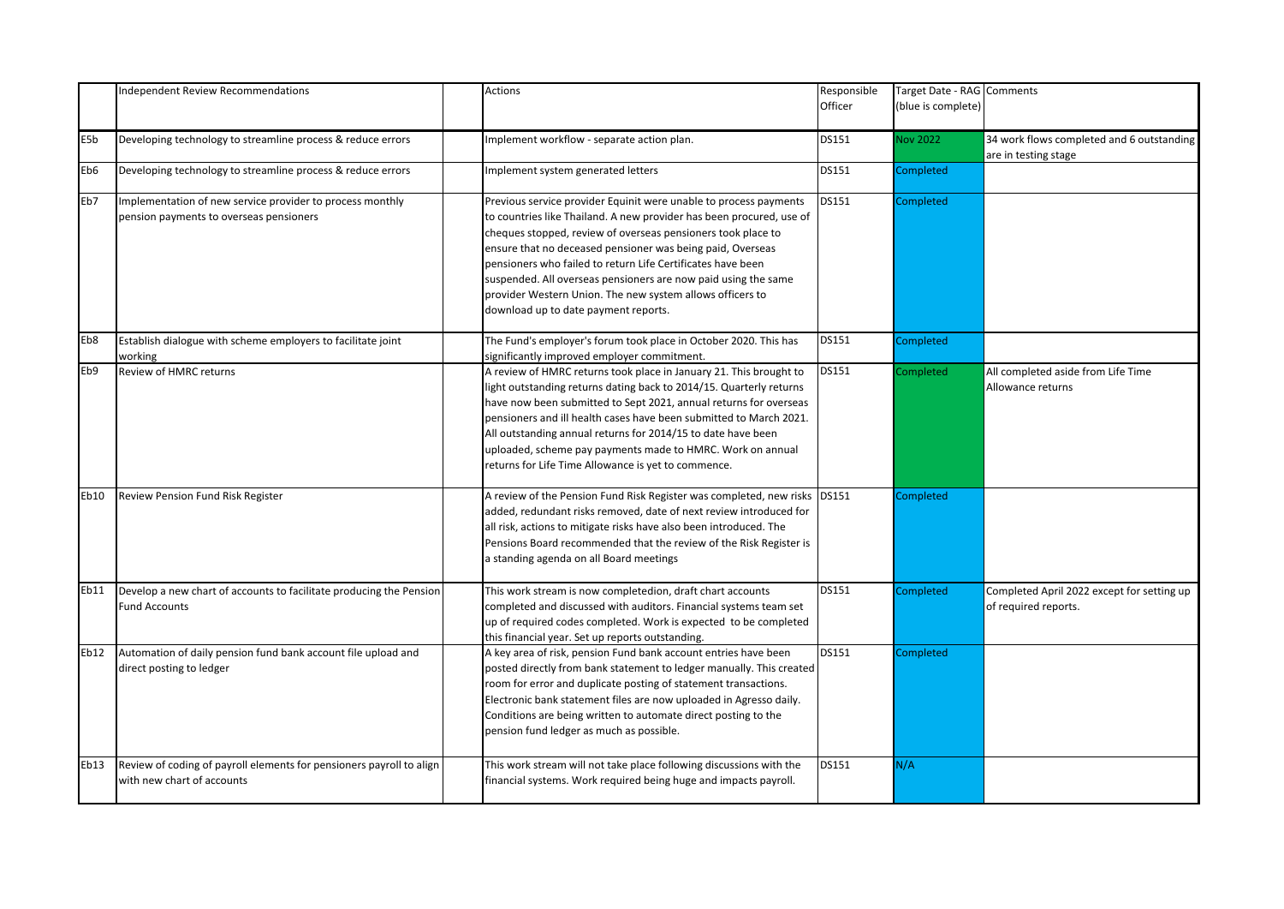|      | <b>Independent Review Recommendations</b>                                                            | Actions                                                                                                                                                                                                                                                                                                                                                                                                                                                                                                       | Responsible<br>Officer | Target Date - RAG Comments<br>(blue is complete) |                                                                    |
|------|------------------------------------------------------------------------------------------------------|---------------------------------------------------------------------------------------------------------------------------------------------------------------------------------------------------------------------------------------------------------------------------------------------------------------------------------------------------------------------------------------------------------------------------------------------------------------------------------------------------------------|------------------------|--------------------------------------------------|--------------------------------------------------------------------|
| E5b  | Developing technology to streamline process & reduce errors                                          | Implement workflow - separate action plan.                                                                                                                                                                                                                                                                                                                                                                                                                                                                    | DS151                  | <b>Vov 2022</b>                                  | 34 work flows completed and 6 outstanding<br>are in testing stage  |
| Eb6  | Developing technology to streamline process & reduce errors                                          | Implement system generated letters                                                                                                                                                                                                                                                                                                                                                                                                                                                                            | DS151                  | Completed                                        |                                                                    |
| Eb7  | Implementation of new service provider to process monthly<br>pension payments to overseas pensioners | Previous service provider Equinit were unable to process payments<br>to countries like Thailand. A new provider has been procured, use of<br>cheques stopped, review of overseas pensioners took place to<br>ensure that no deceased pensioner was being paid, Overseas<br>pensioners who failed to return Life Certificates have been<br>suspended. All overseas pensioners are now paid using the same<br>provider Western Union. The new system allows officers to<br>download up to date payment reports. | DS151                  | Completed                                        |                                                                    |
| Eb8  | Establish dialogue with scheme employers to facilitate joint<br>working                              | The Fund's employer's forum took place in October 2020. This has<br>significantly improved employer commitment.                                                                                                                                                                                                                                                                                                                                                                                               | DS151                  | Completed                                        |                                                                    |
| Eb9  | Review of HMRC returns                                                                               | A review of HMRC returns took place in January 21. This brought to<br>light outstanding returns dating back to 2014/15. Quarterly returns<br>have now been submitted to Sept 2021, annual returns for overseas<br>pensioners and ill health cases have been submitted to March 2021.<br>All outstanding annual returns for 2014/15 to date have been<br>uploaded, scheme pay payments made to HMRC. Work on annual<br>returns for Life Time Allowance is yet to commence.                                     | DS151                  | Completed                                        | All completed aside from Life Time<br>Allowance returns            |
| Eb10 | <b>Review Pension Fund Risk Register</b>                                                             | A review of the Pension Fund Risk Register was completed, new risks<br>added, redundant risks removed, date of next review introduced for<br>all risk, actions to mitigate risks have also been introduced. The<br>Pensions Board recommended that the review of the Risk Register is<br>a standing agenda on all Board meetings                                                                                                                                                                              | <b>DS151</b>           | Completed                                        |                                                                    |
| Eb11 | Develop a new chart of accounts to facilitate producing the Pension<br><b>Fund Accounts</b>          | This work stream is now completedion, draft chart accounts<br>completed and discussed with auditors. Financial systems team set<br>up of required codes completed. Work is expected to be completed<br>this financial year. Set up reports outstanding.                                                                                                                                                                                                                                                       | DS151                  | Completed                                        | Completed April 2022 except for setting up<br>of required reports. |
| Eb12 | Automation of daily pension fund bank account file upload and<br>direct posting to ledger            | A key area of risk, pension Fund bank account entries have been<br>posted directly from bank statement to ledger manually. This created<br>room for error and duplicate posting of statement transactions.<br>Electronic bank statement files are now uploaded in Agresso daily.<br>Conditions are being written to automate direct posting to the<br>pension fund ledger as much as possible.                                                                                                                | DS151                  | Completed                                        |                                                                    |
| Eb13 | Review of coding of payroll elements for pensioners payroll to align<br>with new chart of accounts   | This work stream will not take place following discussions with the<br>financial systems. Work required being huge and impacts payroll.                                                                                                                                                                                                                                                                                                                                                                       | <b>DS151</b>           | N/A                                              |                                                                    |